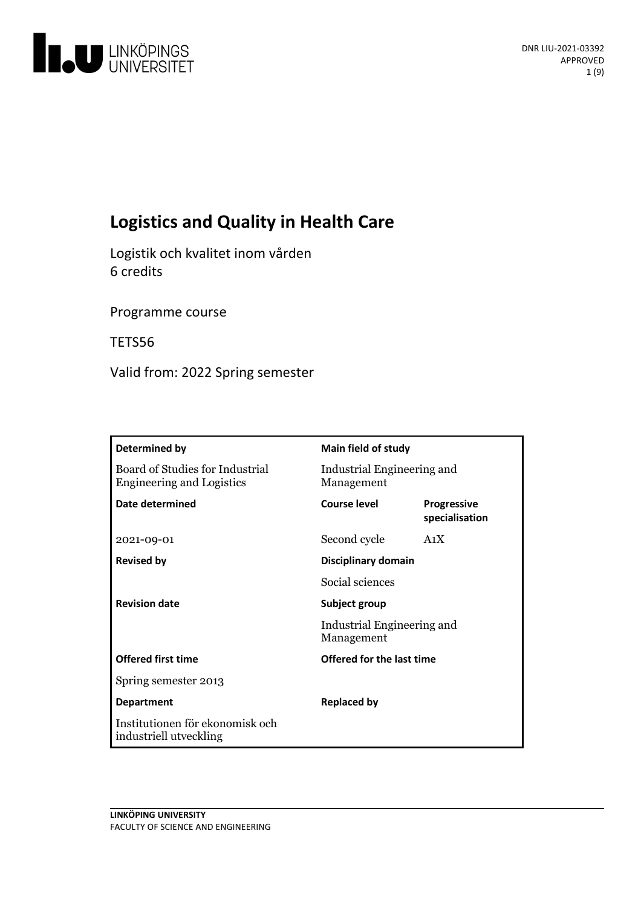

# **Logistics and Qualityin Health Care**

Logistik och kvalitet inom vården 6 credits

Programme course

TETS56

Valid from: 2022 Spring semester

| Determined by                                                       | <b>Main field of study</b>               |                                      |
|---------------------------------------------------------------------|------------------------------------------|--------------------------------------|
| Board of Studies for Industrial<br><b>Engineering and Logistics</b> | Industrial Engineering and<br>Management |                                      |
| Date determined                                                     | Course level                             | <b>Progressive</b><br>specialisation |
| 2021-09-01                                                          | Second cycle                             | A <sub>1</sub> X                     |
| <b>Revised by</b>                                                   | Disciplinary domain                      |                                      |
|                                                                     | Social sciences                          |                                      |
| <b>Revision date</b>                                                | Subject group                            |                                      |
|                                                                     | Industrial Engineering and<br>Management |                                      |
| <b>Offered first time</b>                                           | Offered for the last time                |                                      |
| Spring semester 2013                                                |                                          |                                      |
| <b>Department</b>                                                   | <b>Replaced by</b>                       |                                      |
| Institutionen för ekonomisk och<br>industriell utveckling           |                                          |                                      |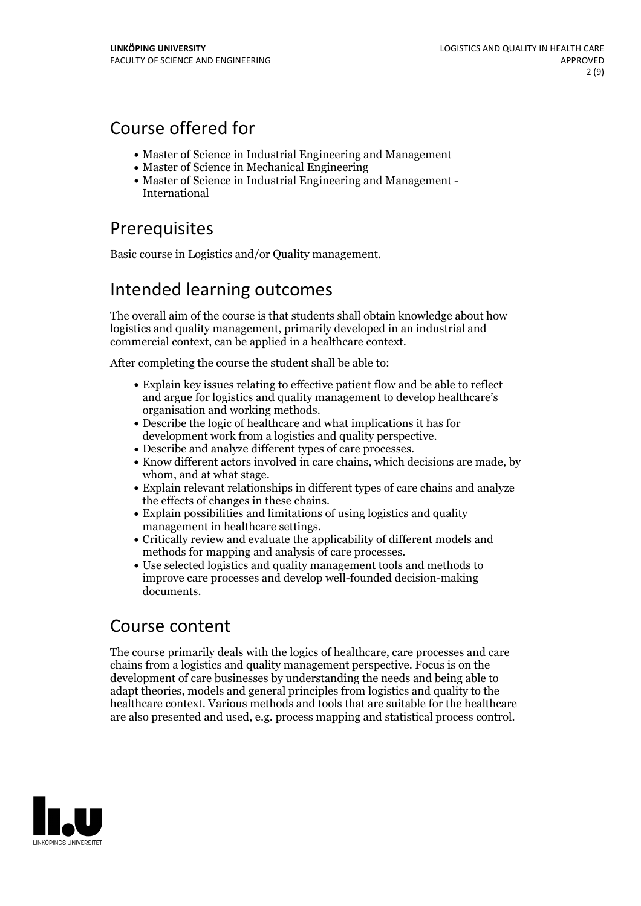## Course offered for

- Master of Science in Industrial Engineering and Management
- Master of Science in Mechanical Engineering
- Master of Science in Industrial Engineering and Management International

# **Prerequisites**

Basic course in Logistics and/or Quality management.

## Intended learning outcomes

The overall aim of the course is that students shall obtain knowledge about how logistics and quality management, primarily developed in an industrial and commercial context, can be applied in a healthcare context.

After completing the course the student shall be able to:

- Explain key issues relating to effective patient flow and be able to reflect and argue for logistics and quality management to develop healthcare's organisation and working methods.<br>• Describe the logic of healthcare and what implications it has for
- 
- 
- development work from a logistics and quality perspective.<br>
Describe and analyze different types of care processes.<br>
Know different actors involved in care chains, which decisions are made, by whom, and at what stage.
- $\bullet$  Explain relevant relationships in different types of care chains and analyze the effects of changes in these chains.
- Explain possibilities and limitations of using logistics and quality management in healthcare settings.
- Critically review and evaluate the applicability of different models and methods for mapping and analysis of care processes.
- Use selected logistics and quality management tools and methods to improve care processes and develop well-founded decision-making documents.

## Course content

The course primarily deals with the logics of healthcare, care processes and care chains from a logistics and quality management perspective. Focus is on the development of care businesses by understanding the needs and being able to adapt theories, models and general principles from logistics and quality to the healthcare context. Various methods and tools that are suitable for the healthcare are also presented and used, e.g. process mapping and statistical process control.

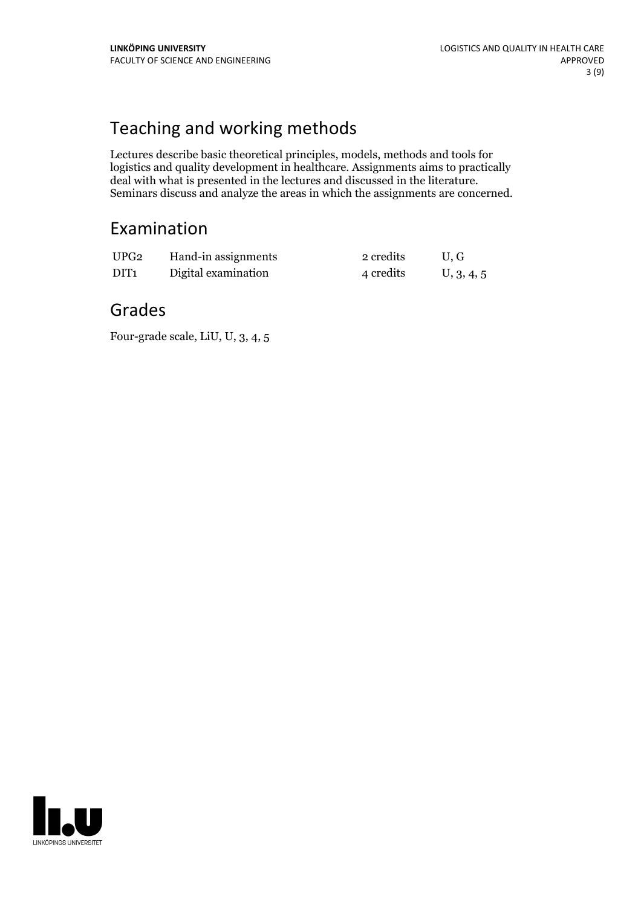# Teaching and working methods

Lectures describe basic theoretical principles, models, methods and tools for logistics and quality development in healthcare. Assignments aims to practically deal with what is presented in the lectures and discussed in the literature. Seminars discuss and analyze the areas in which the assignments are concerned.

## Examination

| UPG <sub>2</sub> | Hand-in assignments | 2 credits | U.G        |
|------------------|---------------------|-----------|------------|
| DIT <sub>1</sub> | Digital examination | 4 credits | U, 3, 4, 5 |

## Grades

Four-grade scale, LiU, U, 3, 4, 5

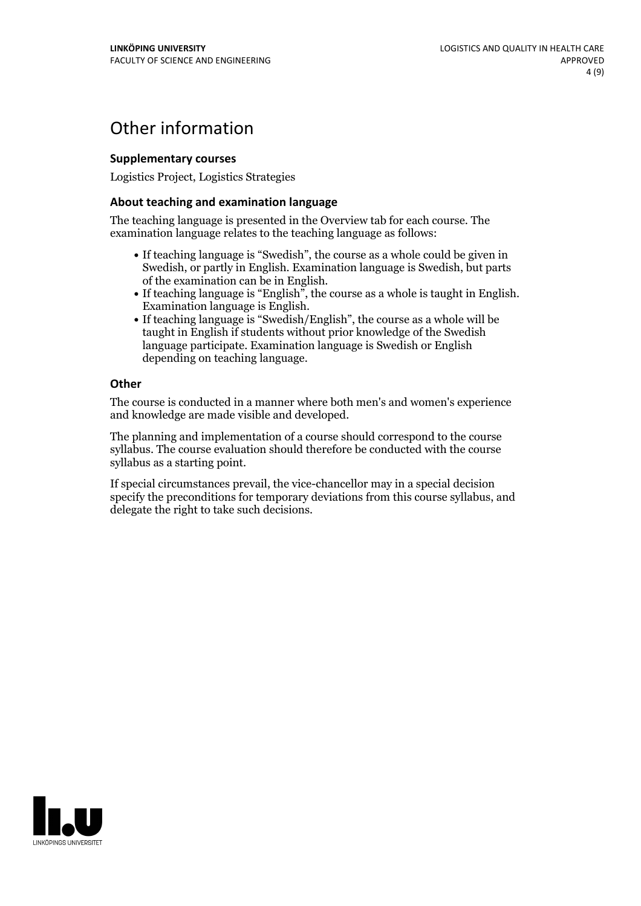## Other information

#### **Supplementarycourses**

Logistics Project, Logistics Strategies

### **About teaching and examination language**

The teaching language is presented in the Overview tab for each course. The examination language relates to the teaching language as follows:

- If teaching language is "Swedish", the course as a whole could be given in Swedish, or partly in English. Examination language is Swedish, but parts
- of the examination can be in English. If teaching language is "English", the course as <sup>a</sup> whole is taught in English. Examination language is English. If teaching language is "Swedish/English", the course as <sup>a</sup> whole will be
- taught in English if students without prior knowledge of the Swedish language participate. Examination language is Swedish or English depending on teaching language.

#### **Other**

The course is conducted in a manner where both men's and women's experience and knowledge are made visible and developed.

The planning and implementation of a course should correspond to the course syllabus. The course evaluation should therefore be conducted with the course syllabus as a starting point.

If special circumstances prevail, the vice-chancellor may in a special decision specify the preconditions for temporary deviations from this course syllabus, and delegate the right to take such decisions.

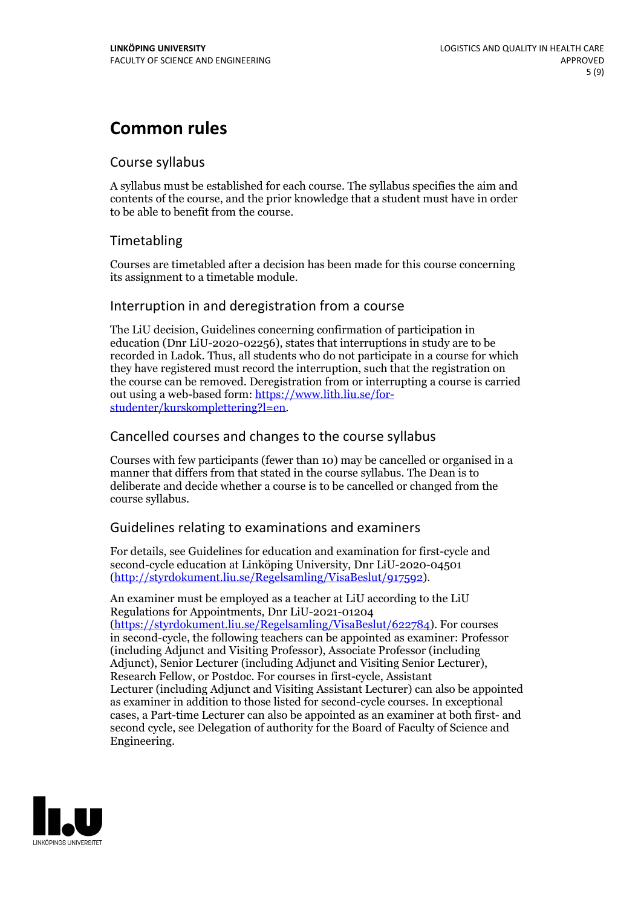# **Common rules**

## Course syllabus

A syllabus must be established for each course. The syllabus specifies the aim and contents of the course, and the prior knowledge that a student must have in order to be able to benefit from the course.

## Timetabling

Courses are timetabled after a decision has been made for this course concerning its assignment to a timetable module.

## Interruption in and deregistration from a course

The LiU decision, Guidelines concerning confirmation of participation in education (Dnr LiU-2020-02256), states that interruptions in study are to be recorded in Ladok. Thus, all students who do not participate in a course for which they have registered must record the interruption, such that the registration on the course can be removed. Deregistration from or interrupting a course is carried out using <sup>a</sup> web-based form: https://www.lith.liu.se/for- [studenter/kurskomplettering?l=en.](https://www.lith.liu.se/for-studenter/kurskomplettering?l=en)

## Cancelled courses and changes to the course syllabus

Courses with few participants (fewer than 10) may be cancelled or organised in a manner that differs from that stated in the course syllabus. The Dean is to deliberate and decide whether a course is to be cancelled or changed from the course syllabus.

## Guidelines relating to examinations and examiners

For details, see Guidelines for education and examination for first-cycle and second-cycle education at Linköping University, Dnr LiU-2020-04501 [\(http://styrdokument.liu.se/Regelsamling/VisaBeslut/917592\)](http://styrdokument.liu.se/Regelsamling/VisaBeslut/917592).

An examiner must be employed as a teacher at LiU according to the LiU Regulations for Appointments, Dnr LiU-2021-01204 [\(https://styrdokument.liu.se/Regelsamling/VisaBeslut/622784](https://styrdokument.liu.se/Regelsamling/VisaBeslut/622784)). For courses in second-cycle, the following teachers can be appointed as examiner: Professor (including Adjunct and Visiting Professor), Associate Professor (including Adjunct), Senior Lecturer (including Adjunct and Visiting Senior Lecturer), Research Fellow, or Postdoc. For courses in first-cycle, Assistant Lecturer (including Adjunct and Visiting Assistant Lecturer) can also be appointed as examiner in addition to those listed for second-cycle courses. In exceptional cases, a Part-time Lecturer can also be appointed as an examiner at both first- and second cycle, see Delegation of authority for the Board of Faculty of Science and Engineering.

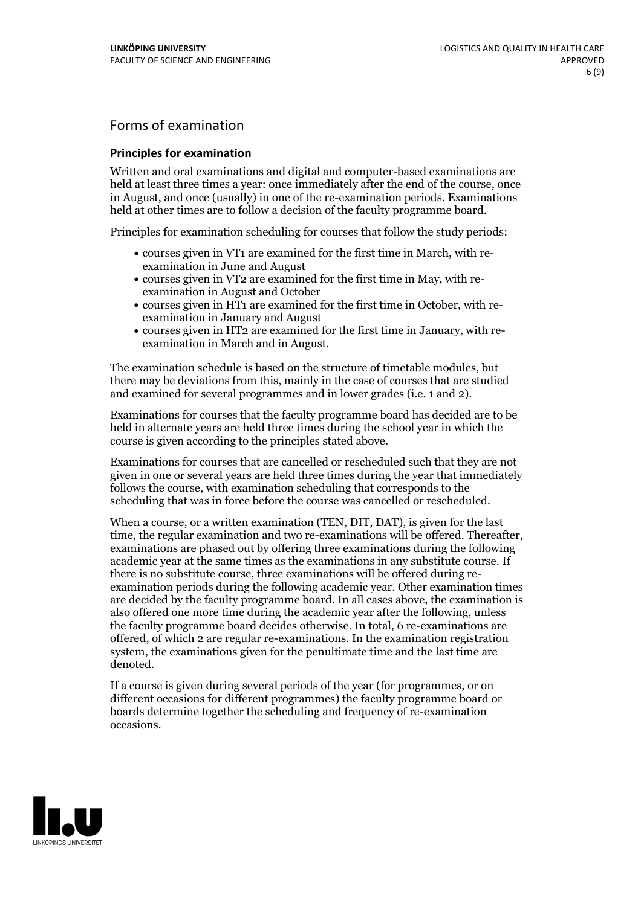## Forms of examination

#### **Principles for examination**

Written and oral examinations and digital and computer-based examinations are held at least three times a year: once immediately after the end of the course, once in August, and once (usually) in one of the re-examination periods. Examinations held at other times are to follow a decision of the faculty programme board.

Principles for examination scheduling for courses that follow the study periods:

- courses given in VT1 are examined for the first time in March, with re-examination in June and August
- courses given in VT2 are examined for the first time in May, with re-examination in August and October
- courses given in HT1 are examined for the first time in October, with re-examination in January and August
- courses given in HT2 are examined for the first time in January, with re-examination in March and in August.

The examination schedule is based on the structure of timetable modules, but there may be deviations from this, mainly in the case of courses that are studied and examined for several programmes and in lower grades (i.e. 1 and 2).

Examinations for courses that the faculty programme board has decided are to be held in alternate years are held three times during the school year in which the course is given according to the principles stated above.

Examinations for courses that are cancelled orrescheduled such that they are not given in one or several years are held three times during the year that immediately follows the course, with examination scheduling that corresponds to the scheduling that was in force before the course was cancelled or rescheduled.

When a course, or a written examination (TEN, DIT, DAT), is given for the last time, the regular examination and two re-examinations will be offered. Thereafter, examinations are phased out by offering three examinations during the following academic year at the same times as the examinations in any substitute course. If there is no substitute course, three examinations will be offered during re- examination periods during the following academic year. Other examination times are decided by the faculty programme board. In all cases above, the examination is also offered one more time during the academic year after the following, unless the faculty programme board decides otherwise. In total, 6 re-examinations are offered, of which 2 are regular re-examinations. In the examination registration system, the examinations given for the penultimate time and the last time are denoted.

If a course is given during several periods of the year (for programmes, or on different occasions for different programmes) the faculty programme board or boards determine together the scheduling and frequency of re-examination occasions.

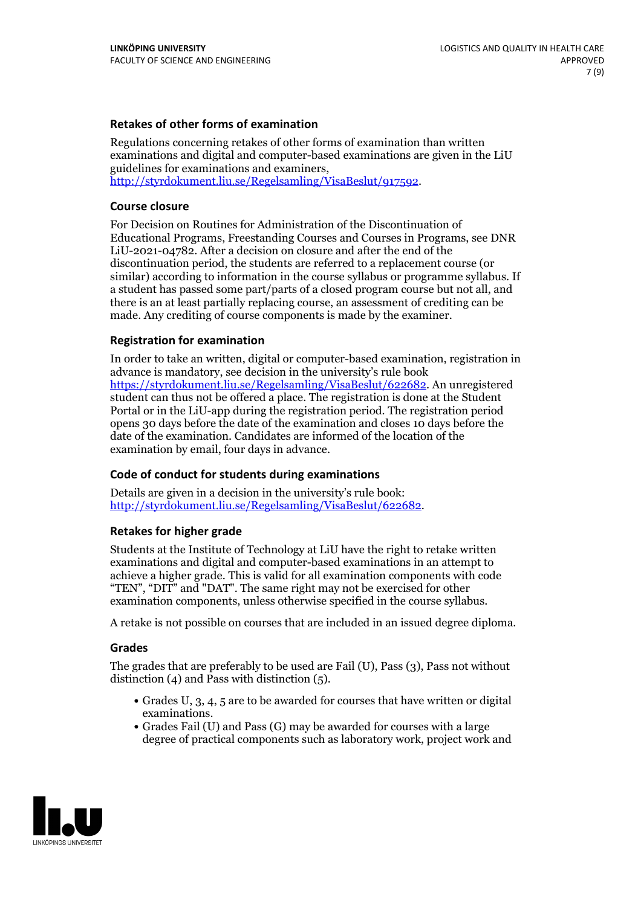### **Retakes of other forms of examination**

Regulations concerning retakes of other forms of examination than written examinations and digital and computer-based examinations are given in the LiU guidelines for examinations and examiners, [http://styrdokument.liu.se/Regelsamling/VisaBeslut/917592.](http://styrdokument.liu.se/Regelsamling/VisaBeslut/917592)

#### **Course closure**

For Decision on Routines for Administration of the Discontinuation of Educational Programs, Freestanding Courses and Courses in Programs, see DNR LiU-2021-04782. After a decision on closure and after the end of the discontinuation period, the students are referred to a replacement course (or similar) according to information in the course syllabus or programme syllabus. If a student has passed some part/parts of a closed program course but not all, and there is an at least partially replacing course, an assessment of crediting can be made. Any crediting of course components is made by the examiner.

### **Registration for examination**

In order to take an written, digital or computer-based examination, registration in advance is mandatory, see decision in the university's rule book [https://styrdokument.liu.se/Regelsamling/VisaBeslut/622682.](https://styrdokument.liu.se/Regelsamling/VisaBeslut/622682) An unregistered student can thus not be offered a place. The registration is done at the Student Portal or in the LiU-app during the registration period. The registration period opens 30 days before the date of the examination and closes 10 days before the date of the examination. Candidates are informed of the location of the examination by email, four days in advance.

### **Code of conduct for students during examinations**

Details are given in a decision in the university's rule book: <http://styrdokument.liu.se/Regelsamling/VisaBeslut/622682>.

#### **Retakes for higher grade**

Students at the Institute of Technology at LiU have the right to retake written examinations and digital and computer-based examinations in an attempt to achieve a higher grade. This is valid for all examination components with code "TEN", "DIT" and "DAT". The same right may not be exercised for other examination components, unless otherwise specified in the course syllabus.

A retake is not possible on courses that are included in an issued degree diploma.

#### **Grades**

The grades that are preferably to be used are Fail (U), Pass (3), Pass not without distinction  $(4)$  and Pass with distinction  $(5)$ .

- Grades U, 3, 4, 5 are to be awarded for courses that have written or digital examinations.<br>• Grades Fail (U) and Pass (G) may be awarded for courses with a large
- degree of practical components such as laboratory work, project work and

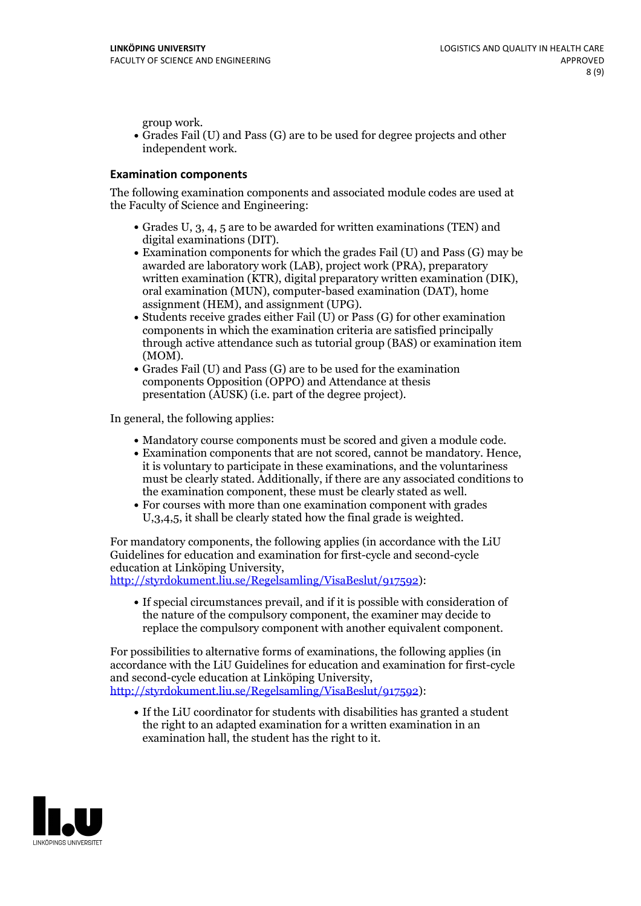group work.<br>• Grades Fail (U) and Pass (G) are to be used for degree projects and other independent work.

### **Examination components**

The following examination components and associated module codes are used at the Faculty of Science and Engineering:

- Grades U, 3, 4, 5 are to be awarded for written examinations (TEN) and
- digital examinations (DIT).<br>• Examination components for which the grades Fail (U) and Pass (G) may be awarded are laboratory work (LAB), project work (PRA), preparatory written examination (KTR), digital preparatory written examination (DIK), oral examination (MUN), computer-based examination (DAT), home
- assignment (HEM), and assignment (UPG).<br>• Students receive grades either Fail (U) or Pass (G) for other examination components in which the examination criteria are satisfied principally through active attendance such as tutorial group (BAS) or examination item
- (MOM).<br>• Grades Fail (U) and Pass (G) are to be used for the examination components Opposition (OPPO) and Attendance at thesis presentation (AUSK) (i.e. part of the degree project).

In general, the following applies:

- 
- Mandatory course components must be scored and given <sup>a</sup> module code. Examination components that are not scored, cannot be mandatory. Hence, it is voluntary to participate in these examinations, and the voluntariness must be clearly stated. Additionally, if there are any associated conditions to
- the examination component, these must be clearly stated as well.<br>• For courses with more than one examination component with grades U,3,4,5, it shall be clearly stated how the final grade is weighted.

For mandatory components, the following applies (in accordance with the LiU Guidelines for education and examination for first-cycle and second-cycle education at Linköping University,<br>[http://styrdokument.liu.se/Regelsamling/VisaBeslut/917592\)](http://styrdokument.liu.se/Regelsamling/VisaBeslut/917592):

If special circumstances prevail, and if it is possible with consideration of the nature of the compulsory component, the examiner may decide to replace the compulsory component with another equivalent component.

For possibilities to alternative forms of examinations, the following applies (in accordance with the LiU Guidelines for education and examination for first-cycle [http://styrdokument.liu.se/Regelsamling/VisaBeslut/917592\)](http://styrdokument.liu.se/Regelsamling/VisaBeslut/917592):

If the LiU coordinator for students with disabilities has granted a student the right to an adapted examination for a written examination in an examination hall, the student has the right to it.